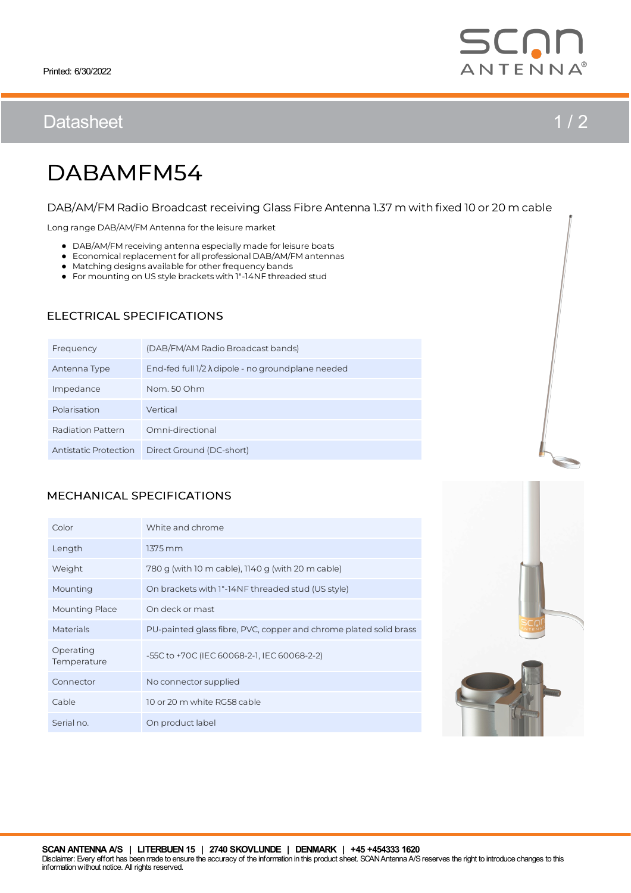# Datasheet 1/2



# DABAMFM54

#### DAB/AM/FM Radio Broadcast receiving Glass Fibre Antenna 1.37 m with fixed 10 or 20 m cable

Long range DAB/AM/FMAntenna for the leisure market

- $\bullet$  DAB/AM/FM receiving antenna especially made for leisure boats
- Economical replacement for all professional DAB/AM/FM antennas
- Matching designs available for other frequency bands
- For mounting on US style bracketswith 1"-14NF threaded stud

#### ELECTRICAL SPECIFICATIONS

| Frequency                | (DAB/FM/AM Radio Broadcast bands)                         |
|--------------------------|-----------------------------------------------------------|
| Antenna Type             | End-fed full $1/2 \lambda$ dipole - no groundplane needed |
| Impedance                | Nom. 50 Ohm                                               |
| Polarisation             | Vertical                                                  |
| <b>Radiation Pattern</b> | Omni-directional                                          |
| Antistatic Protection    | Direct Ground (DC-short)                                  |

### MECHANICAL SPECIFICATIONS

| Color                    | White and chrome                                                  |
|--------------------------|-------------------------------------------------------------------|
| Length                   | $1375 \,\mathrm{mm}$                                              |
| Weight                   | 780 g (with 10 m cable), 1140 g (with 20 m cable)                 |
| Mounting                 | On brackets with 1"-14NF threaded stud (US style)                 |
| <b>Mounting Place</b>    | On deck or mast                                                   |
| <b>Materials</b>         | PU-painted glass fibre, PVC, copper and chrome plated solid brass |
| Operating<br>Temperature | -55C to +70C (IEC 60068-2-1, IEC 60068-2-2)                       |
| Connector                | No connector supplied                                             |
| Cable                    | 10 or 20 m white RG58 cable                                       |
| Serial no.               | On product label                                                  |